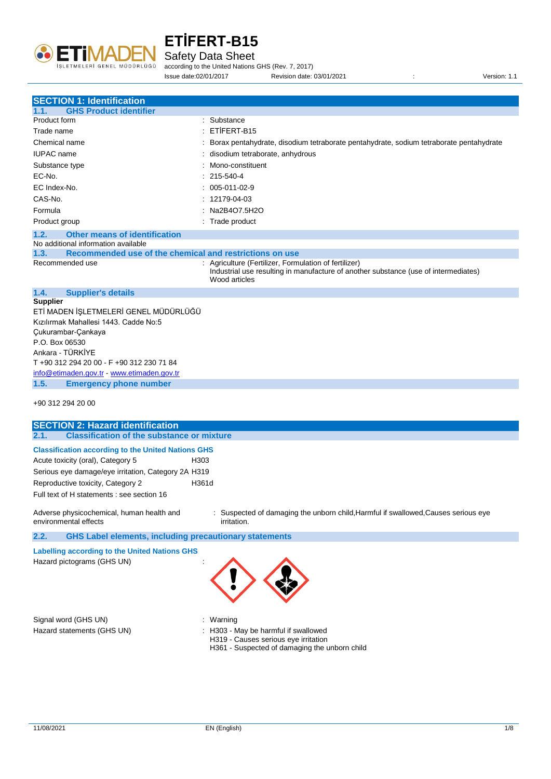

Safety Data Sheet

according to the United Nations GHS (Rev. 7, 2017) Issue date:02/01/2017 Revision date: 03/01/2021 : Version: 1.1

| <b>SECTION 1: Identification</b>                                |                                                                                                                                                               |  |  |
|-----------------------------------------------------------------|---------------------------------------------------------------------------------------------------------------------------------------------------------------|--|--|
| <b>GHS Product identifier</b><br>1.1.                           |                                                                                                                                                               |  |  |
| Product form                                                    | Substance                                                                                                                                                     |  |  |
| Trade name                                                      | ETİFERT-B15                                                                                                                                                   |  |  |
| Chemical name                                                   | Borax pentahydrate, disodium tetraborate pentahydrate, sodium tetraborate pentahydrate                                                                        |  |  |
| <b>IUPAC</b> name                                               | disodium tetraborate, anhydrous                                                                                                                               |  |  |
| Substance type                                                  | Mono-constituent                                                                                                                                              |  |  |
| EC-No.                                                          | 215-540-4                                                                                                                                                     |  |  |
| EC Index-No.                                                    | 005-011-02-9                                                                                                                                                  |  |  |
| CAS-No.                                                         | 12179-04-03                                                                                                                                                   |  |  |
| Formula                                                         | Na2B4O7.5H2O                                                                                                                                                  |  |  |
| Product group                                                   | : Trade product                                                                                                                                               |  |  |
| <b>Other means of identification</b><br>1.2.                    |                                                                                                                                                               |  |  |
| No additional information available                             |                                                                                                                                                               |  |  |
| Recommended use of the chemical and restrictions on use<br>1.3. |                                                                                                                                                               |  |  |
| Recommended use                                                 | : Agriculture (Fertilizer, Formulation of fertilizer)<br>Industrial use resulting in manufacture of another substance (use of intermediates)<br>Wood articles |  |  |
| <b>Supplier's details</b><br>1.4.                               |                                                                                                                                                               |  |  |
| <b>Supplier</b>                                                 |                                                                                                                                                               |  |  |
| ETİ MADEN İŞLETMELERİ GENEL MÜDÜRLÜĞÜ                           |                                                                                                                                                               |  |  |
| Kızılırmak Mahallesi 1443. Cadde No:5                           |                                                                                                                                                               |  |  |
| Çukurambar-Çankaya                                              |                                                                                                                                                               |  |  |
| P.O. Box 06530                                                  |                                                                                                                                                               |  |  |
| Ankara - TÜRKİYE                                                |                                                                                                                                                               |  |  |
| T +90 312 294 20 00 - F +90 312 230 71 84                       |                                                                                                                                                               |  |  |
| info@etimaden.gov.tr - www.etimaden.gov.tr                      |                                                                                                                                                               |  |  |
| <b>Emergency phone number</b><br>1.5.                           |                                                                                                                                                               |  |  |
| +90 312 294 20 00                                               |                                                                                                                                                               |  |  |

| <b>SECTION 2: Hazard identification</b>                                     |                                                                                                   |
|-----------------------------------------------------------------------------|---------------------------------------------------------------------------------------------------|
| <b>Classification of the substance or mixture</b><br>2.1.                   |                                                                                                   |
| <b>Classification according to the United Nations GHS</b>                   |                                                                                                   |
| Acute toxicity (oral), Category 5                                           | H303                                                                                              |
| Serious eye damage/eye irritation, Category 2A H319                         |                                                                                                   |
| Reproductive toxicity, Category 2                                           | H361d                                                                                             |
| Full text of H statements : see section 16                                  |                                                                                                   |
| Adverse physicochemical, human health and<br>environmental effects          | : Suspected of damaging the unborn child, Harmful if swallowed, Causes serious eye<br>irritation. |
| 2.2.<br><b>GHS Label elements, including precautionary statements</b>       |                                                                                                   |
| Labelling according to the United Nations GHS<br>Hazard pictograms (GHS UN) |                                                                                                   |
| Signal word (GHS UN)                                                        | : Warning                                                                                         |

- 
- Hazard statements (GHS UN)  $\qquad \qquad$  : H303 May be harmful if swallowed
	- H319 Causes serious eye irritation
	- H361 Suspected of damaging the unborn child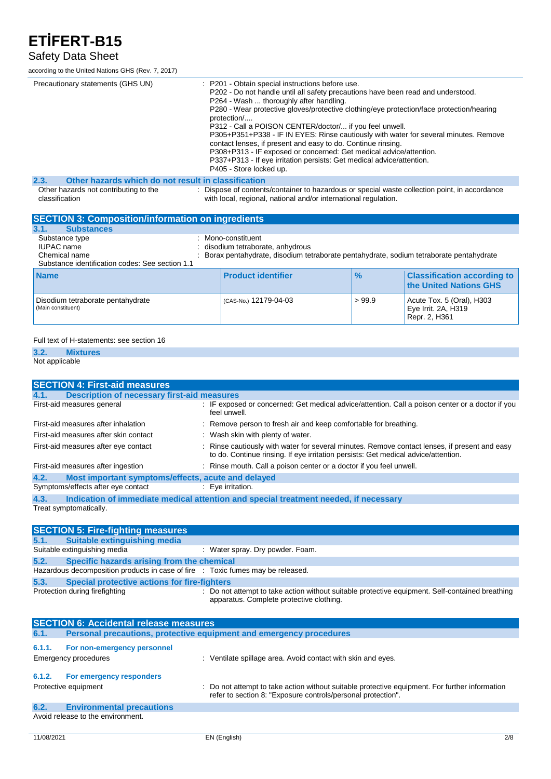#### Safety Data Sheet

according to the United Nations GHS (Rev. 7, 2017)

| Precautionary statements (GHS UN)                           | : P201 - Obtain special instructions before use.<br>P202 - Do not handle until all safety precautions have been read and understood.<br>P264 - Wash  thoroughly after handling.<br>P280 - Wear protective gloves/protective clothing/eye protection/face protection/hearing<br>protection/<br>P312 - Call a POISON CENTER/doctor/ if you feel unwell.<br>P305+P351+P338 - IF IN EYES: Rinse cautiously with water for several minutes. Remove<br>contact lenses, if present and easy to do. Continue rinsing.<br>P308+P313 - IF exposed or concerned: Get medical advice/attention.<br>P337+P313 - If eye irritation persists: Get medical advice/attention.<br>P405 - Store locked up. |
|-------------------------------------------------------------|-----------------------------------------------------------------------------------------------------------------------------------------------------------------------------------------------------------------------------------------------------------------------------------------------------------------------------------------------------------------------------------------------------------------------------------------------------------------------------------------------------------------------------------------------------------------------------------------------------------------------------------------------------------------------------------------|
| Other hazards which do not result in classification<br>2.3. |                                                                                                                                                                                                                                                                                                                                                                                                                                                                                                                                                                                                                                                                                         |
| Other hazards not contributing to the<br>classification     | : Dispose of contents/container to hazardous or special waste collection point, in accordance<br>with local, regional, national and/or international regulation.                                                                                                                                                                                                                                                                                                                                                                                                                                                                                                                        |
| <b>SECTION 3: Composition/information on ingredients</b>    |                                                                                                                                                                                                                                                                                                                                                                                                                                                                                                                                                                                                                                                                                         |

| <b>ULUTTURE: COMPOSITION INTO MIGHUIL UN INGLISHE</b>                                                   |  |                                                                                                                                                   |               |                                                                     |
|---------------------------------------------------------------------------------------------------------|--|---------------------------------------------------------------------------------------------------------------------------------------------------|---------------|---------------------------------------------------------------------|
| <b>Substances</b><br>3.1.                                                                               |  |                                                                                                                                                   |               |                                                                     |
| Substance type<br><b>IUPAC</b> name<br>Chemical name<br>Substance identification codes: See section 1.1 |  | : Mono-constituent<br>: disodium tetraborate, anhydrous<br>Borax pentahydrate, disodium tetraborate pentahydrate, sodium tetraborate pentahydrate |               |                                                                     |
| <b>Name</b>                                                                                             |  | <b>Product identifier</b>                                                                                                                         | $\frac{9}{6}$ | <b>Classification according to</b><br><b>the United Nations GHS</b> |
| Disodium tetraborate pentahydrate<br>(Main constituent)                                                 |  | (CAS-No.) 12179-04-03                                                                                                                             | > 99.9        | Acute Tox. 5 (Oral), H303<br>Eye Irrit. 2A, H319<br>Repr. 2, H361   |

#### Full text of H-statements: see section 16

#### **3.2. Mixtures**

Not applicable

| <b>SECTION 4: First-aid measures</b>                       |                                                                                                                                                                                     |  |  |  |
|------------------------------------------------------------|-------------------------------------------------------------------------------------------------------------------------------------------------------------------------------------|--|--|--|
| <b>Description of necessary first-aid measures</b><br>4.1. |                                                                                                                                                                                     |  |  |  |
| First-aid measures general                                 | : IF exposed or concerned: Get medical advice/attention. Call a poison center or a doctor if you<br>feel unwell.                                                                    |  |  |  |
| First-aid measures after inhalation                        | : Remove person to fresh air and keep comfortable for breathing.                                                                                                                    |  |  |  |
| First-aid measures after skin contact                      | : Wash skin with plenty of water.                                                                                                                                                   |  |  |  |
| First-aid measures after eye contact                       | : Rinse cautiously with water for several minutes. Remove contact lenses, if present and easy<br>to do. Continue rinsing. If eye irritation persists: Get medical advice/attention. |  |  |  |
| First-aid measures after ingestion                         | : Rinse mouth. Call a poison center or a doctor if you feel unwell.                                                                                                                 |  |  |  |
| Most important symptoms/effects, acute and delayed<br>4.2. |                                                                                                                                                                                     |  |  |  |
| Symptoms/effects after eye contact                         | : Eve irritation.                                                                                                                                                                   |  |  |  |
| 4.3.                                                       | Indication of immediate medical attention and special treatment needed, if necessary                                                                                                |  |  |  |
| Treat symptomatically.                                     |                                                                                                                                                                                     |  |  |  |

| <b>SECTION 5: Fire-fighting measures</b> |                                                                                 |                                                                                                                                             |  |  |
|------------------------------------------|---------------------------------------------------------------------------------|---------------------------------------------------------------------------------------------------------------------------------------------|--|--|
|                                          | 5.1. Suitable extinguishing media                                               |                                                                                                                                             |  |  |
|                                          | Suitable extinguishing media                                                    | : Water spray. Dry powder. Foam.                                                                                                            |  |  |
| 5.2.                                     | Specific hazards arising from the chemical                                      |                                                                                                                                             |  |  |
|                                          | Hazardous decomposition products in case of fire : Toxic fumes may be released. |                                                                                                                                             |  |  |
| 5.3.                                     | <b>Special protective actions for fire-fighters</b>                             |                                                                                                                                             |  |  |
|                                          | Protection during firefighting                                                  | : Do not attempt to take action without suitable protective equipment. Self-contained breathing<br>apparatus. Complete protective clothing. |  |  |

| <b>SECTION 6: Accidental release measures</b> |                                                                     |                                                                                                                                                                |  |  |
|-----------------------------------------------|---------------------------------------------------------------------|----------------------------------------------------------------------------------------------------------------------------------------------------------------|--|--|
| 6.1.                                          | Personal precautions, protective equipment and emergency procedures |                                                                                                                                                                |  |  |
| 6.1.1.                                        | For non-emergency personnel<br>Emergency procedures                 | : Ventilate spillage area. Avoid contact with skin and eyes.                                                                                                   |  |  |
| 6.1.2.                                        | For emergency responders<br>Protective equipment                    | : Do not attempt to take action without suitable protective equipment. For further information<br>refer to section 8: "Exposure controls/personal protection". |  |  |
| 6.2.                                          | <b>Environmental precautions</b>                                    |                                                                                                                                                                |  |  |
|                                               | Avoid release to the environment.                                   |                                                                                                                                                                |  |  |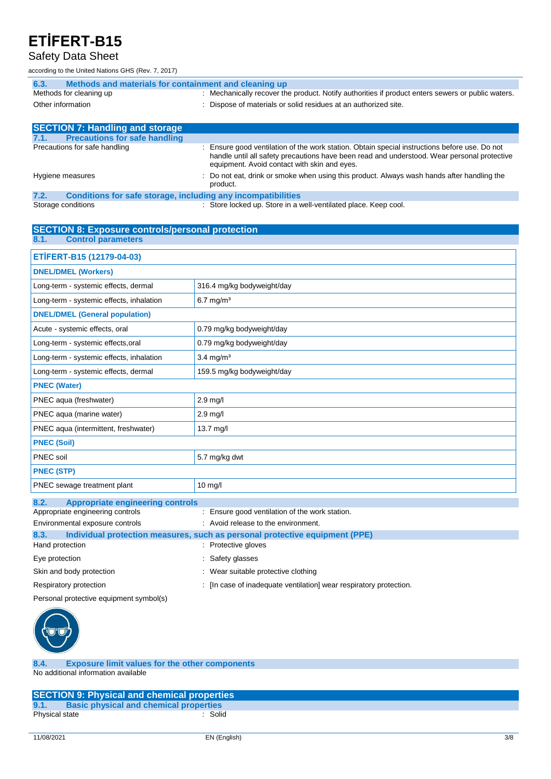#### Safety Data Sheet

according to the United Nations GHS (Rev. 7, 2017)

| Methods and materials for containment and cleaning up<br>6.3.                                  |                                                                                                                                                                                                                                              |  |  |
|------------------------------------------------------------------------------------------------|----------------------------------------------------------------------------------------------------------------------------------------------------------------------------------------------------------------------------------------------|--|--|
| Methods for cleaning up                                                                        | : Mechanically recover the product. Notify authorities if product enters sewers or public waters.                                                                                                                                            |  |  |
| Other information                                                                              | : Dispose of materials or solid residues at an authorized site.                                                                                                                                                                              |  |  |
|                                                                                                |                                                                                                                                                                                                                                              |  |  |
| <b>SECTION 7: Handling and storage</b>                                                         |                                                                                                                                                                                                                                              |  |  |
| <b>Precautions for safe handling</b><br>7.1.                                                   |                                                                                                                                                                                                                                              |  |  |
| Precautions for safe handling                                                                  | : Ensure good ventilation of the work station. Obtain special instructions before use. Do not<br>handle until all safety precautions have been read and understood. Wear personal protective<br>equipment. Avoid contact with skin and eyes. |  |  |
| Hygiene measures                                                                               | : Do not eat, drink or smoke when using this product. Always wash hands after handling the<br>product.                                                                                                                                       |  |  |
| Candidana fan aafa atanana, boobrilling amir boogmuath libbaa<br>$\overline{ }$ $\overline{ }$ |                                                                                                                                                                                                                                              |  |  |

**7.2. Conditions for safe storage, including any incompatibilities** Storage conditions **Store Inc.** Store locked up. Store in a well-ventilated place. Keep cool.

| <b>SECTION 8: Exposure controls/personal protection</b>                             |                                                                    |  |  |
|-------------------------------------------------------------------------------------|--------------------------------------------------------------------|--|--|
| <b>Control parameters</b><br>8.1.                                                   |                                                                    |  |  |
| ETİFERT-B15 (12179-04-03)                                                           |                                                                    |  |  |
| <b>DNEL/DMEL (Workers)</b>                                                          |                                                                    |  |  |
| Long-term - systemic effects, dermal                                                | 316.4 mg/kg bodyweight/day                                         |  |  |
| Long-term - systemic effects, inhalation                                            | $6.7$ mg/m <sup>3</sup>                                            |  |  |
| <b>DNEL/DMEL (General population)</b>                                               |                                                                    |  |  |
| Acute - systemic effects, oral                                                      | 0.79 mg/kg bodyweight/day                                          |  |  |
| Long-term - systemic effects, oral                                                  | 0.79 mg/kg bodyweight/day                                          |  |  |
| Long-term - systemic effects, inhalation                                            | $3.4 \text{ mg/m}^3$                                               |  |  |
| Long-term - systemic effects, dermal                                                | 159.5 mg/kg bodyweight/day                                         |  |  |
| <b>PNEC (Water)</b>                                                                 |                                                                    |  |  |
| PNEC aqua (freshwater)                                                              | $2.9$ mg/l                                                         |  |  |
| PNEC agua (marine water)                                                            | $2.9$ mg/l                                                         |  |  |
| PNEC aqua (intermittent, freshwater)                                                | 13.7 mg/l                                                          |  |  |
| <b>PNEC (Soil)</b>                                                                  |                                                                    |  |  |
| PNEC soil                                                                           | 5.7 mg/kg dwt                                                      |  |  |
| <b>PNEC (STP)</b>                                                                   |                                                                    |  |  |
| PNEC sewage treatment plant                                                         | $10$ mg/l                                                          |  |  |
| 8.2.<br><b>Appropriate engineering controls</b>                                     |                                                                    |  |  |
| Appropriate engineering controls                                                    | : Ensure good ventilation of the work station.                     |  |  |
| Environmental exposure controls                                                     | : Avoid release to the environment.                                |  |  |
| 8.3.<br>Individual protection measures, such as personal protective equipment (PPE) |                                                                    |  |  |
| Hand protection                                                                     | : Protective gloves                                                |  |  |
| Eye protection                                                                      | : Safety glasses                                                   |  |  |
| Skin and body protection                                                            | : Wear suitable protective clothing                                |  |  |
| Respiratory protection                                                              | : [In case of inadequate ventilation] wear respiratory protection. |  |  |

Personal protective equipment symbol(s)



**8.4. Exposure limit values for the other components** No additional information available

|                | <b>SECTION 9: Physical and chemical properties</b> |
|----------------|----------------------------------------------------|
| 9.1.           | <b>Basic physical and chemical properties</b>      |
| Physical state | Solid                                              |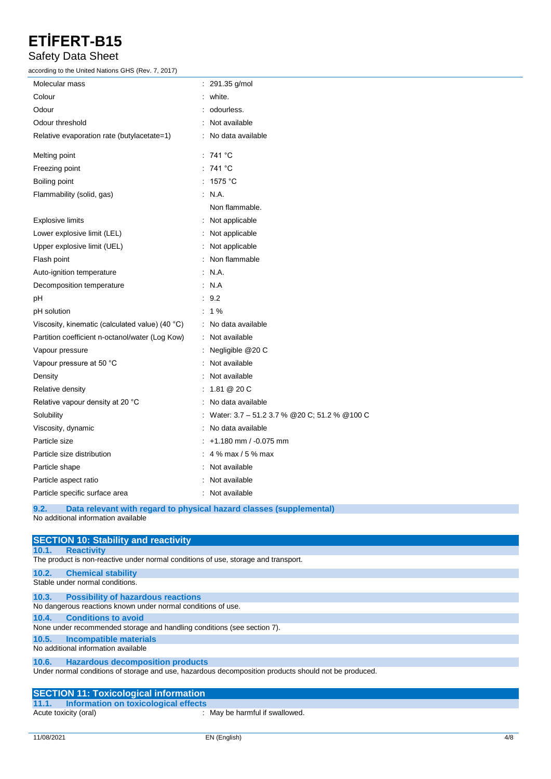#### Safety Data Sheet

according to the United Nations GHS (Rev. 7, 2017)

| Molecular mass                                  | : 291.35 g/mol                                 |
|-------------------------------------------------|------------------------------------------------|
| Colour                                          | white.                                         |
| Odour                                           | odourless.                                     |
| Odour threshold                                 | Not available                                  |
| Relative evaporation rate (butylacetate=1)      | No data available                              |
| Melting point                                   | : 741 °C                                       |
| Freezing point                                  | : 741 °C                                       |
| Boiling point                                   | : 1575 °C                                      |
| Flammability (solid, gas)                       | $\therefore$ N.A.                              |
|                                                 | Non flammable.                                 |
| Explosive limits                                | : Not applicable                               |
| Lower explosive limit (LEL)                     | Not applicable                                 |
| Upper explosive limit (UEL)                     | Not applicable                                 |
| Flash point                                     | Non flammable                                  |
| Auto-ignition temperature                       | : N.A.                                         |
| Decomposition temperature                       | : N.A                                          |
| рH                                              | : 9.2                                          |
| pH solution                                     | $: 1\%$                                        |
| Viscosity, kinematic (calculated value) (40 °C) | : No data available                            |
| Partition coefficient n-octanol/water (Log Kow) | : Not available                                |
| Vapour pressure                                 | Negligible @20 C                               |
| Vapour pressure at 50 °C                        | Not available                                  |
| Density                                         | Not available                                  |
| Relative density                                | : 1.81 @ 20 C                                  |
| Relative vapour density at 20 °C                | No data available                              |
| Solubility                                      | Water: 3.7 - 51.2 3.7 % @ 20 C; 51.2 % @ 100 C |
| Viscosity, dynamic                              | No data available                              |
| Particle size                                   | +1.180 mm / -0.075 mm                          |
| Particle size distribution                      | : 4 $\%$ max / 5 $\%$ max                      |
| Particle shape                                  | Not available                                  |
| Particle aspect ratio                           | Not available                                  |
| Particle specific surface area                  | : Not available                                |
| $\sim$ $\sim$<br><b>Contractor</b> Contractor   |                                                |

**9.2. Data relevant with regard to physical hazard classes (supplemental)** No additional information available

| <b>SECTION 10: Stability and reactivity</b>                                                          |  |  |  |  |
|------------------------------------------------------------------------------------------------------|--|--|--|--|
| <b>Reactivity</b><br>10.1.                                                                           |  |  |  |  |
| The product is non-reactive under normal conditions of use, storage and transport.                   |  |  |  |  |
| 10.2.<br><b>Chemical stability</b>                                                                   |  |  |  |  |
| Stable under normal conditions.                                                                      |  |  |  |  |
| <b>Possibility of hazardous reactions</b><br>10.3.                                                   |  |  |  |  |
| No dangerous reactions known under normal conditions of use.                                         |  |  |  |  |
| <b>Conditions to avoid</b><br>10.4.                                                                  |  |  |  |  |
| None under recommended storage and handling conditions (see section 7).                              |  |  |  |  |
| Incompatible materials<br>10.5.                                                                      |  |  |  |  |
| No additional information available                                                                  |  |  |  |  |
| <b>Hazardous decomposition products</b><br>10.6.                                                     |  |  |  |  |
| Under normal conditions of storage and use, hazardous decomposition products should not be produced. |  |  |  |  |
| <b>SECTION 11: Toxicological information</b>                                                         |  |  |  |  |
| 11.1. Information on toxicological effects                                                           |  |  |  |  |

Acute toxicity (oral) : May be harmful if swallowed.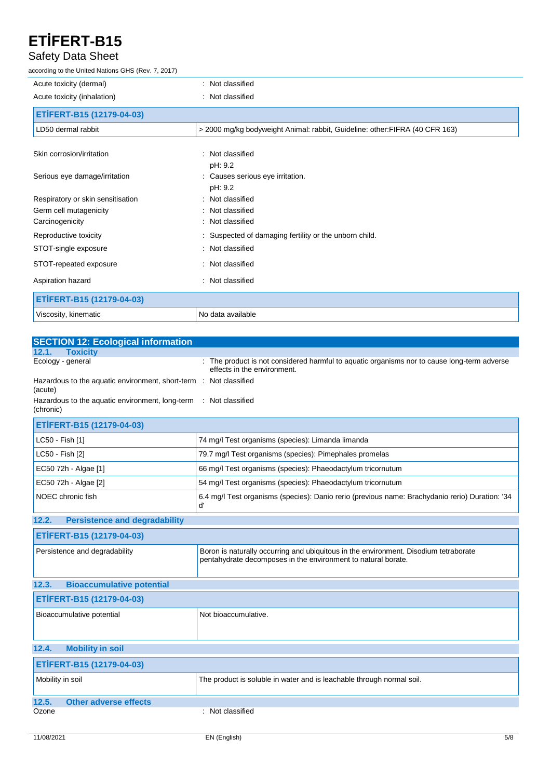#### Safety Data Sheet

according to the United Nations GHS (Rev. 7, 2017)

| Acute toxicity (dermal)           | : Not classified                                                             |
|-----------------------------------|------------------------------------------------------------------------------|
| Acute toxicity (inhalation)       | : Not classified                                                             |
| ETİFERT-B15 (12179-04-03)         |                                                                              |
| LD50 dermal rabbit                | > 2000 mg/kg bodyweight Animal: rabbit, Guideline: other: FIFRA (40 CFR 163) |
| Skin corrosion/irritation         | : Not classified<br>pH: 9.2                                                  |
| Serious eye damage/irritation     | : Causes serious eye irritation.<br>pH: 9.2                                  |
| Respiratory or skin sensitisation | : Not classified                                                             |
| Germ cell mutagenicity            | : Not classified                                                             |
| Carcinogenicity                   | : Not classified                                                             |
| Reproductive toxicity             | : Suspected of damaging fertility or the unborn child.                       |
| STOT-single exposure              | : Not classified                                                             |
| STOT-repeated exposure            | : Not classified                                                             |
| Aspiration hazard                 | : Not classified                                                             |
| ETİFERT-B15 (12179-04-03)         |                                                                              |
| Viscosity, kinematic              | No data available                                                            |

| <b>SECTION 12: Ecological information</b>                                    |                                                                                                                                                       |
|------------------------------------------------------------------------------|-------------------------------------------------------------------------------------------------------------------------------------------------------|
| <b>Toxicity</b><br>12.1.                                                     |                                                                                                                                                       |
| Ecology - general                                                            | : The product is not considered harmful to aquatic organisms nor to cause long-term adverse<br>effects in the environment.                            |
| Hazardous to the aquatic environment, short-term : Not classified<br>(acute) |                                                                                                                                                       |
| Hazardous to the aquatic environment, long-term<br>(chronic)                 | : Not classified                                                                                                                                      |
| ETİFERT-B15 (12179-04-03)                                                    |                                                                                                                                                       |
| LC50 - Fish [1]                                                              | 74 mg/l Test organisms (species): Limanda limanda                                                                                                     |
| LC50 - Fish [2]                                                              | 79.7 mg/l Test organisms (species): Pimephales promelas                                                                                               |
| EC50 72h - Algae [1]                                                         | 66 mg/l Test organisms (species): Phaeodactylum tricornutum                                                                                           |
| EC50 72h - Algae [2]                                                         | 54 mg/l Test organisms (species): Phaeodactylum tricornutum                                                                                           |
| NOEC chronic fish                                                            | 6.4 mg/l Test organisms (species): Danio rerio (previous name: Brachydanio rerio) Duration: '34<br>ď                                                  |
| <b>Persistence and degradability</b><br>12.2.                                |                                                                                                                                                       |
| ETİFERT-B15 (12179-04-03)                                                    |                                                                                                                                                       |
| Persistence and degradability                                                | Boron is naturally occurring and ubiquitous in the environment. Disodium tetraborate<br>pentahydrate decomposes in the environment to natural borate. |
| <b>Bioaccumulative potential</b><br>12.3.                                    |                                                                                                                                                       |
| ETİFERT-B15 (12179-04-03)                                                    |                                                                                                                                                       |
| Bioaccumulative potential                                                    | Not bioaccumulative.                                                                                                                                  |
| <b>Mobility in soil</b><br>12.4.                                             |                                                                                                                                                       |
| ETİFERT-B15 (12179-04-03)                                                    |                                                                                                                                                       |
| Mobility in soil                                                             | The product is soluble in water and is leachable through normal soil.                                                                                 |
| 12.5.<br><b>Other adverse effects</b>                                        |                                                                                                                                                       |
| Ozone                                                                        | : Not classified                                                                                                                                      |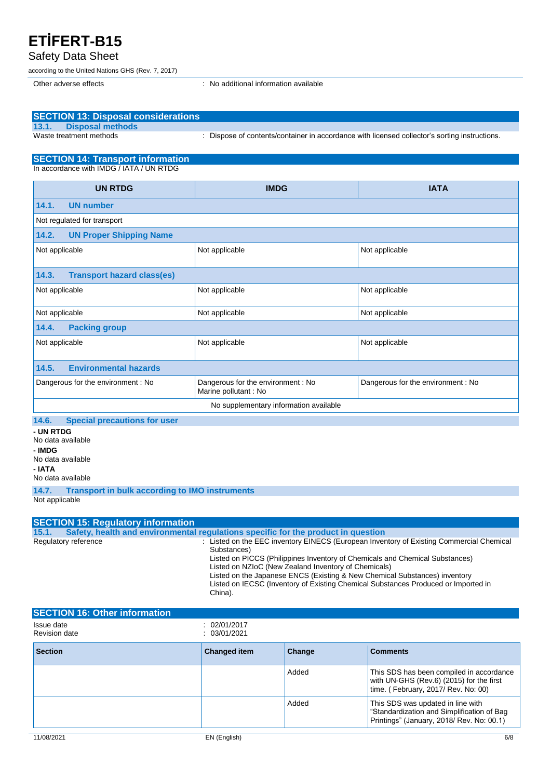#### Safety Data Sheet

according to the United Nations GHS (Rev. 7, 2017)

Other adverse effects in the state of the state of the state of the state of the state of the state of the state of the state of the state of the state of the state of the state of the state of the state of the state of th

| <b>SECTION 13: Disposal considerations</b>                                                                                                                                                                                                                                                                                                                                                                                                                                                                                                           |                                                             |        |                                                                                               |
|------------------------------------------------------------------------------------------------------------------------------------------------------------------------------------------------------------------------------------------------------------------------------------------------------------------------------------------------------------------------------------------------------------------------------------------------------------------------------------------------------------------------------------------------------|-------------------------------------------------------------|--------|-----------------------------------------------------------------------------------------------|
| <b>Disposal methods</b><br>13.1.<br>Waste treatment methods                                                                                                                                                                                                                                                                                                                                                                                                                                                                                          |                                                             |        | : Dispose of contents/container in accordance with licensed collector's sorting instructions. |
|                                                                                                                                                                                                                                                                                                                                                                                                                                                                                                                                                      |                                                             |        |                                                                                               |
| <b>SECTION 14: Transport information</b><br>In accordance with IMDG / IATA / UN RTDG                                                                                                                                                                                                                                                                                                                                                                                                                                                                 |                                                             |        |                                                                                               |
|                                                                                                                                                                                                                                                                                                                                                                                                                                                                                                                                                      |                                                             |        |                                                                                               |
| <b>UN RTDG</b>                                                                                                                                                                                                                                                                                                                                                                                                                                                                                                                                       | <b>IMDG</b>                                                 |        | <b>IATA</b>                                                                                   |
| 14.1.<br><b>UN number</b>                                                                                                                                                                                                                                                                                                                                                                                                                                                                                                                            |                                                             |        |                                                                                               |
| Not regulated for transport                                                                                                                                                                                                                                                                                                                                                                                                                                                                                                                          |                                                             |        |                                                                                               |
| 14.2.<br><b>UN Proper Shipping Name</b>                                                                                                                                                                                                                                                                                                                                                                                                                                                                                                              |                                                             |        |                                                                                               |
| Not applicable                                                                                                                                                                                                                                                                                                                                                                                                                                                                                                                                       | Not applicable                                              |        | Not applicable                                                                                |
| <b>Transport hazard class(es)</b><br>14.3.                                                                                                                                                                                                                                                                                                                                                                                                                                                                                                           |                                                             |        |                                                                                               |
| Not applicable                                                                                                                                                                                                                                                                                                                                                                                                                                                                                                                                       | Not applicable                                              |        | Not applicable                                                                                |
| Not applicable                                                                                                                                                                                                                                                                                                                                                                                                                                                                                                                                       | Not applicable                                              |        | Not applicable                                                                                |
| 14.4.<br><b>Packing group</b>                                                                                                                                                                                                                                                                                                                                                                                                                                                                                                                        |                                                             |        |                                                                                               |
| Not applicable                                                                                                                                                                                                                                                                                                                                                                                                                                                                                                                                       | Not applicable                                              |        | Not applicable                                                                                |
| <b>Environmental hazards</b><br>14.5.                                                                                                                                                                                                                                                                                                                                                                                                                                                                                                                |                                                             |        |                                                                                               |
| Dangerous for the environment : No                                                                                                                                                                                                                                                                                                                                                                                                                                                                                                                   | Dangerous for the environment : No<br>Marine pollutant : No |        | Dangerous for the environment: No                                                             |
|                                                                                                                                                                                                                                                                                                                                                                                                                                                                                                                                                      | No supplementary information available                      |        |                                                                                               |
| <b>Special precautions for user</b><br>14.6.<br>- UN RTDG<br>No data available<br>- IMDG<br>No data available<br>- IATA<br>No data available                                                                                                                                                                                                                                                                                                                                                                                                         |                                                             |        |                                                                                               |
| 14.7.<br><b>Transport in bulk according to IMO instruments</b><br>Not applicable                                                                                                                                                                                                                                                                                                                                                                                                                                                                     |                                                             |        |                                                                                               |
| <b>SECTION 15: Regulatory information</b>                                                                                                                                                                                                                                                                                                                                                                                                                                                                                                            |                                                             |        |                                                                                               |
| Safety, health and environmental regulations specific for the product in question<br>15.1.<br>: Listed on the EEC inventory EINECS (European Inventory of Existing Commercial Chemical<br>Regulatory reference<br>Substances)<br>Listed on PICCS (Philippines Inventory of Chemicals and Chemical Substances)<br>Listed on NZIoC (New Zealand Inventory of Chemicals)<br>Listed on the Japanese ENCS (Existing & New Chemical Substances) inventory<br>Listed on IECSC (Inventory of Existing Chemical Substances Produced or Imported in<br>China). |                                                             |        |                                                                                               |
| <b>SECTION 16: Other information</b>                                                                                                                                                                                                                                                                                                                                                                                                                                                                                                                 |                                                             |        |                                                                                               |
| Issue date<br><b>Revision date</b>                                                                                                                                                                                                                                                                                                                                                                                                                                                                                                                   | 02/01/2017<br>03/01/2021                                    |        |                                                                                               |
| <b>Section</b>                                                                                                                                                                                                                                                                                                                                                                                                                                                                                                                                       | <b>Changed item</b>                                         | Change | <b>Comments</b>                                                                               |
|                                                                                                                                                                                                                                                                                                                                                                                                                                                                                                                                                      |                                                             | hehhA  | This SDS has been compiled in accordance                                                      |

|  | Added | This SDS has been compiled in accordance<br>with UN-GHS (Rev.6) (2015) for the first<br>$\vert$ time. (February, 2017/ Rev. No: 00) |
|--|-------|-------------------------------------------------------------------------------------------------------------------------------------|
|  | Added | This SDS was updated in line with<br>Standardization and Simplification of Bag<br>Printings" (January, 2018/ Rev. No: 00.1)         |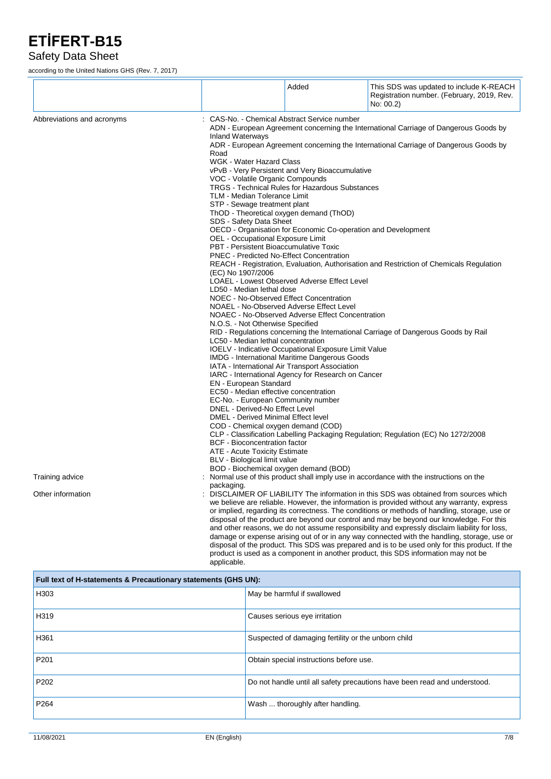#### Safety Data Sheet

according to the United Nations GHS (Rev. 7, 2017)

|                            |                                                                                                                                                                                                                                                                                                                                                                                                                                                                                                                                                                                                                                                                                                                                                                                                                                                                                                                                                                                                                                                                                                                                                                 | Added                                                                                                                                                                                                                | This SDS was updated to include K-REACH<br>Registration number. (February, 2019, Rev.<br>No: 00.2)                                                                                                                                                                                                                                                                                                                                                                                                                                                                                                                                                                                                                                                                      |
|----------------------------|-----------------------------------------------------------------------------------------------------------------------------------------------------------------------------------------------------------------------------------------------------------------------------------------------------------------------------------------------------------------------------------------------------------------------------------------------------------------------------------------------------------------------------------------------------------------------------------------------------------------------------------------------------------------------------------------------------------------------------------------------------------------------------------------------------------------------------------------------------------------------------------------------------------------------------------------------------------------------------------------------------------------------------------------------------------------------------------------------------------------------------------------------------------------|----------------------------------------------------------------------------------------------------------------------------------------------------------------------------------------------------------------------|-------------------------------------------------------------------------------------------------------------------------------------------------------------------------------------------------------------------------------------------------------------------------------------------------------------------------------------------------------------------------------------------------------------------------------------------------------------------------------------------------------------------------------------------------------------------------------------------------------------------------------------------------------------------------------------------------------------------------------------------------------------------------|
| Abbreviations and acronyms | CAS-No. - Chemical Abstract Service number<br>ADN - European Agreement concerning the International Carriage of Dangerous Goods by<br><b>Inland Waterways</b><br>ADR - European Agreement concerning the International Carriage of Dangerous Goods by<br>Road<br>WGK - Water Hazard Class<br>vPvB - Very Persistent and Very Bioaccumulative<br>VOC - Volatile Organic Compounds<br><b>TRGS - Technical Rules for Hazardous Substances</b><br>TLM - Median Tolerance Limit<br>STP - Sewage treatment plant<br>ThOD - Theoretical oxygen demand (ThOD)<br>SDS - Safety Data Sheet<br>OECD - Organisation for Economic Co-operation and Development<br>OEL - Occupational Exposure Limit<br>PBT - Persistent Bioaccumulative Toxic<br><b>PNEC</b> - Predicted No-Effect Concentration<br>REACH - Registration, Evaluation, Authorisation and Restriction of Chemicals Regulation<br>(EC) No 1907/2006<br>LOAEL - Lowest Observed Adverse Effect Level<br>LD50 - Median lethal dose<br>NOEC - No-Observed Effect Concentration<br>NOAEL - No-Observed Adverse Effect Level<br>NOAEC - No-Observed Adverse Effect Concentration<br>N.O.S. - Not Otherwise Specified |                                                                                                                                                                                                                      |                                                                                                                                                                                                                                                                                                                                                                                                                                                                                                                                                                                                                                                                                                                                                                         |
|                            | LC50 - Median lethal concentration<br>EN - European Standard<br>EC50 - Median effective concentration<br>EC-No. - European Community number<br>DNEL - Derived-No Effect Level<br>DMEL - Derived Minimal Effect level<br>COD - Chemical oxygen demand (COD)<br><b>BCF</b> - Bioconcentration factor<br>ATE - Acute Toxicity Estimate<br>BLV - Biological limit value<br>BOD - Biochemical oxygen demand (BOD)                                                                                                                                                                                                                                                                                                                                                                                                                                                                                                                                                                                                                                                                                                                                                    | IOELV - Indicative Occupational Exposure Limit Value<br><b>IMDG</b> - International Maritime Dangerous Goods<br>IATA - International Air Transport Association<br>IARC - International Agency for Research on Cancer | RID - Regulations concerning the International Carriage of Dangerous Goods by Rail<br>CLP - Classification Labelling Packaging Regulation; Regulation (EC) No 1272/2008                                                                                                                                                                                                                                                                                                                                                                                                                                                                                                                                                                                                 |
| Training advice            | packaging.                                                                                                                                                                                                                                                                                                                                                                                                                                                                                                                                                                                                                                                                                                                                                                                                                                                                                                                                                                                                                                                                                                                                                      |                                                                                                                                                                                                                      | Normal use of this product shall imply use in accordance with the instructions on the                                                                                                                                                                                                                                                                                                                                                                                                                                                                                                                                                                                                                                                                                   |
| Other information          | applicable.                                                                                                                                                                                                                                                                                                                                                                                                                                                                                                                                                                                                                                                                                                                                                                                                                                                                                                                                                                                                                                                                                                                                                     |                                                                                                                                                                                                                      | DISCLAIMER OF LIABILITY The information in this SDS was obtained from sources which<br>we believe are reliable. However, the information is provided without any warranty, express<br>or implied, regarding its correctness. The conditions or methods of handling, storage, use or<br>disposal of the product are beyond our control and may be beyond our knowledge. For this<br>and other reasons, we do not assume responsibility and expressly disclaim liability for loss,<br>damage or expense arising out of or in any way connected with the handling, storage, use or<br>disposal of the product. This SDS was prepared and is to be used only for this product. If the<br>product is used as a component in another product, this SDS information may not be |

| Full text of H-statements & Precautionary statements (GHS UN): |                                                                           |  |
|----------------------------------------------------------------|---------------------------------------------------------------------------|--|
| H <sub>303</sub>                                               | May be harmful if swallowed                                               |  |
| H319                                                           | Causes serious eye irritation                                             |  |
| H <sub>361</sub>                                               | Suspected of damaging fertility or the unborn child                       |  |
| P <sub>201</sub>                                               | Obtain special instructions before use.                                   |  |
| P <sub>202</sub>                                               | Do not handle until all safety precautions have been read and understood. |  |
| P <sub>264</sub>                                               | Wash  thoroughly after handling.                                          |  |